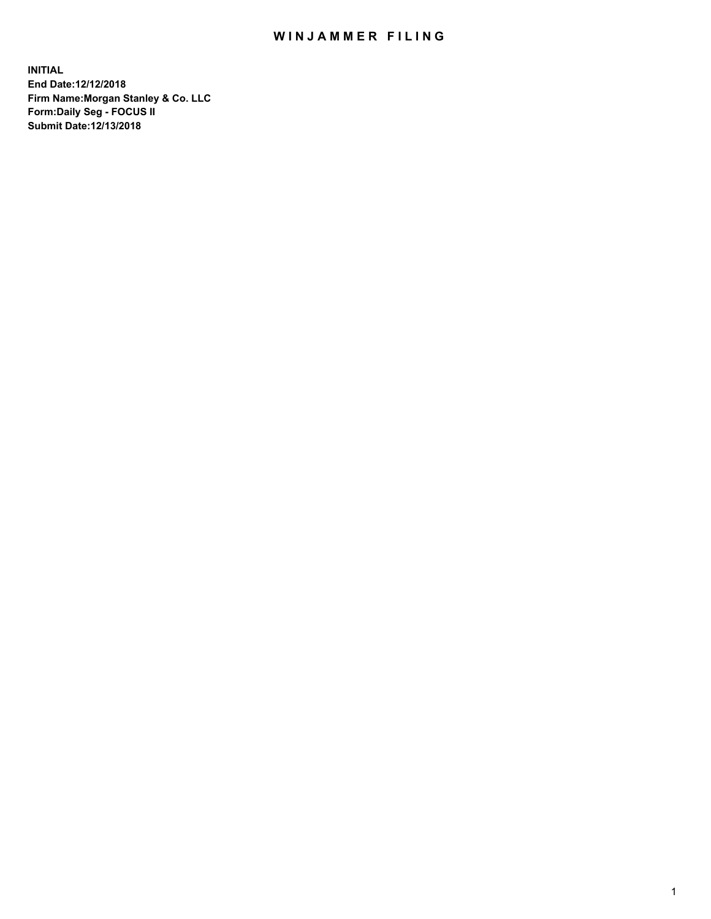## WIN JAMMER FILING

**INITIAL End Date:12/12/2018 Firm Name:Morgan Stanley & Co. LLC Form:Daily Seg - FOCUS II Submit Date:12/13/2018**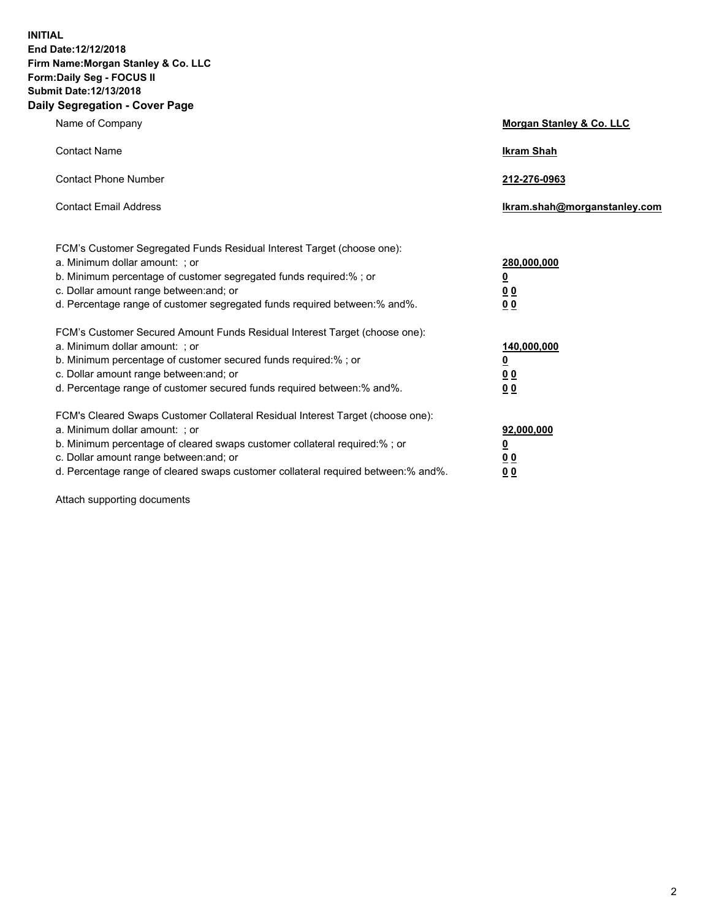**INITIAL End Date:12/12/2018 Firm Name:Morgan Stanley & Co. LLC Form:Daily Seg - FOCUS II Submit Date:12/13/2018 Daily Segregation - Cover Page**

| Name of Company                                                                   | Morgan Stanley & Co. LLC     |
|-----------------------------------------------------------------------------------|------------------------------|
| <b>Contact Name</b>                                                               | <b>Ikram Shah</b>            |
| <b>Contact Phone Number</b>                                                       | 212-276-0963                 |
| <b>Contact Email Address</b>                                                      | Ikram.shah@morganstanley.com |
| FCM's Customer Segregated Funds Residual Interest Target (choose one):            |                              |
| a. Minimum dollar amount: ; or                                                    | 280,000,000                  |
| b. Minimum percentage of customer segregated funds required:% ; or                | <u>0</u>                     |
| c. Dollar amount range between: and; or                                           | <u>00</u>                    |
| d. Percentage range of customer segregated funds required between:% and%.         | 0 <sub>0</sub>               |
| FCM's Customer Secured Amount Funds Residual Interest Target (choose one):        |                              |
| a. Minimum dollar amount: ; or                                                    | 140,000,000                  |
| b. Minimum percentage of customer secured funds required:%; or                    | <u>0</u>                     |
| c. Dollar amount range between: and; or                                           | <u>00</u>                    |
| d. Percentage range of customer secured funds required between:% and%.            | 00                           |
| FCM's Cleared Swaps Customer Collateral Residual Interest Target (choose one):    |                              |
| a. Minimum dollar amount: ; or                                                    | 92,000,000                   |
| b. Minimum percentage of cleared swaps customer collateral required:% ; or        | <u>0</u>                     |
| c. Dollar amount range between: and; or                                           | 0 Q                          |
| d. Percentage range of cleared swaps customer collateral required between:% and%. | 00                           |

Attach supporting documents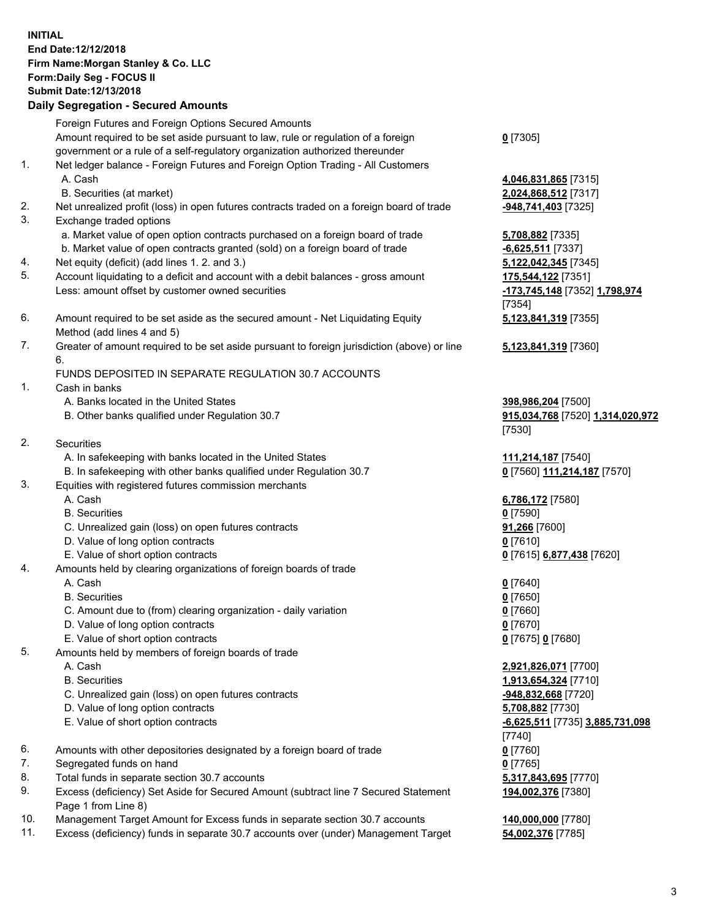## **INITIAL End Date:12/12/2018 Firm Name:Morgan Stanley & Co. LLC Form:Daily Seg - FOCUS II Submit Date:12/13/2018**

## **Daily Segregation - Secured Amounts**

Foreign Futures and Foreign Options Secured Amounts Amount required to be set aside pursuant to law, rule or regulation of a foreign government or a rule of a self-regulatory organization authorized thereunder

- 1. Net ledger balance Foreign Futures and Foreign Option Trading All Customers A. Cash **4,046,831,865** [7315]
	- B. Securities (at market) **2,024,868,512** [7317]
- 2. Net unrealized profit (loss) in open futures contracts traded on a foreign board of trade **-948,741,403** [7325]
- 3. Exchange traded options
	- a. Market value of open option contracts purchased on a foreign board of trade **5,708,882** [7335]
	- b. Market value of open contracts granted (sold) on a foreign board of trade **-6,625,511** [7337]
- 4. Net equity (deficit) (add lines 1. 2. and 3.) **5,122,042,345** [7345]
- 5. Account liquidating to a deficit and account with a debit balances gross amount **175,544,122** [7351] Less: amount offset by customer owned securities **and the securities -173,745,148** [7352] **1,798,974**
- 6. Amount required to be set aside as the secured amount Net Liquidating Equity Method (add lines 4 and 5)
- 7. Greater of amount required to be set aside pursuant to foreign jurisdiction (above) or line 6.

## FUNDS DEPOSITED IN SEPARATE REGULATION 30.7 ACCOUNTS

- 1. Cash in banks
	- A. Banks located in the United States **398,986,204** [7500]
	- B. Other banks qualified under Regulation 30.7 **915,034,768** [7520] **1,314,020,972**
- 2. Securities
	- A. In safekeeping with banks located in the United States **111,214,187** [7540]
	- B. In safekeeping with other banks qualified under Regulation 30.7 **0** [7560] **111,214,187** [7570]
- 3. Equities with registered futures commission merchants
	-
	- B. Securities **0** [7590]
	- C. Unrealized gain (loss) on open futures contracts **91,266** [7600]
	- D. Value of long option contracts **0** [7610]
- E. Value of short option contracts **0** [7615] **6,877,438** [7620]
- 4. Amounts held by clearing organizations of foreign boards of trade
	- A. Cash **0** [7640]
	- B. Securities **0** [7650]
	- C. Amount due to (from) clearing organization daily variation **0** [7660]
	- D. Value of long option contracts **0** [7670]
	- E. Value of short option contracts **0** [7675] **0** [7680]
- 5. Amounts held by members of foreign boards of trade
	-
	-
	- C. Unrealized gain (loss) on open futures contracts **-948,832,668** [7720]
	- D. Value of long option contracts **5,708,882** [7730]
	- E. Value of short option contracts **-6,625,511** [7735] **3,885,731,098**
- 6. Amounts with other depositories designated by a foreign board of trade **0** [7760]
- 7. Segregated funds on hand **0** [7765]
- 8. Total funds in separate section 30.7 accounts **5,317,843,695** [7770]
- 9. Excess (deficiency) Set Aside for Secured Amount (subtract line 7 Secured Statement Page 1 from Line 8)
- 10. Management Target Amount for Excess funds in separate section 30.7 accounts **140,000,000** [7780]
- 11. Excess (deficiency) funds in separate 30.7 accounts over (under) Management Target **54,002,376** [7785]

**0** [7305]

[7354] **5,123,841,319** [7355]

**5,123,841,319** [7360]

[7530]

A. Cash **6,786,172** [7580]

 A. Cash **2,921,826,071** [7700] B. Securities **1,913,654,324** [7710] [7740] **194,002,376** [7380]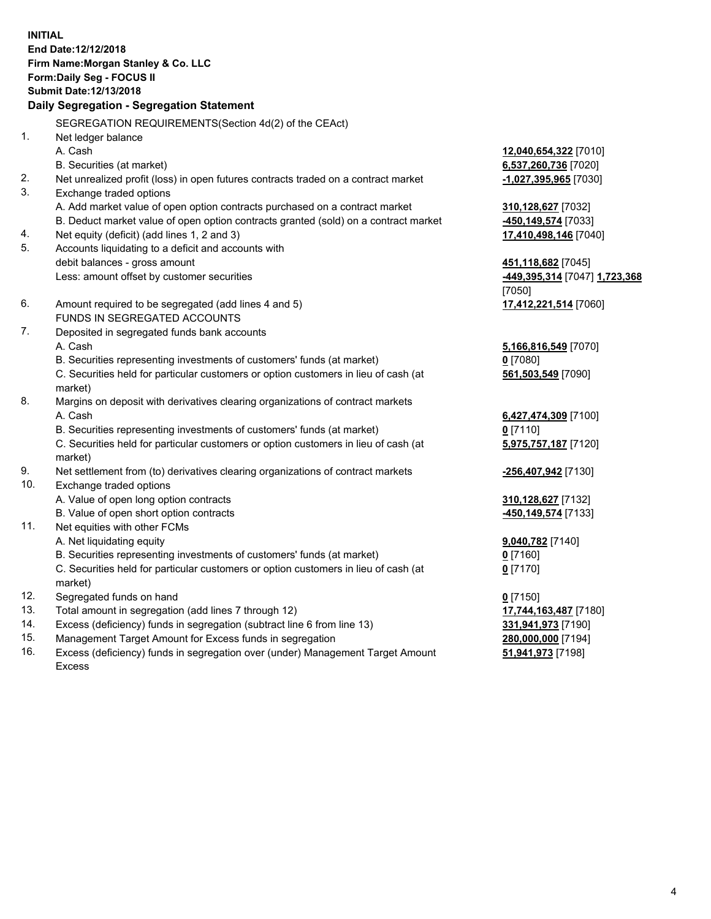**INITIAL End Date:12/12/2018 Firm Name:Morgan Stanley & Co. LLC Form:Daily Seg - FOCUS II Submit Date:12/13/2018 Daily Segregation - Segregation Statement** SEGREGATION REQUIREMENTS(Section 4d(2) of the CEAct) 1. Net ledger balance A. Cash **12,040,654,322** [7010] B. Securities (at market) **6,537,260,736** [7020] 2. Net unrealized profit (loss) in open futures contracts traded on a contract market **-1,027,395,965** [7030] 3. Exchange traded options A. Add market value of open option contracts purchased on a contract market **310,128,627** [7032] B. Deduct market value of open option contracts granted (sold) on a contract market **-450,149,574** [7033] 4. Net equity (deficit) (add lines 1, 2 and 3) **17,410,498,146** [7040] 5. Accounts liquidating to a deficit and accounts with debit balances - gross amount **451,118,682** [7045] Less: amount offset by customer securities **-449,395,314** [7047] **1,723,368** [7050] 6. Amount required to be segregated (add lines 4 and 5) **17,412,221,514** [7060] FUNDS IN SEGREGATED ACCOUNTS 7. Deposited in segregated funds bank accounts A. Cash **5,166,816,549** [7070] B. Securities representing investments of customers' funds (at market) **0** [7080] C. Securities held for particular customers or option customers in lieu of cash (at market) **561,503,549** [7090] 8. Margins on deposit with derivatives clearing organizations of contract markets A. Cash **6,427,474,309** [7100] B. Securities representing investments of customers' funds (at market) **0** [7110] C. Securities held for particular customers or option customers in lieu of cash (at market) **5,975,757,187** [7120] 9. Net settlement from (to) derivatives clearing organizations of contract markets **-256,407,942** [7130] 10. Exchange traded options A. Value of open long option contracts **310,128,627** [7132] B. Value of open short option contracts **-450,149,574** [7133] 11. Net equities with other FCMs A. Net liquidating equity **9,040,782** [7140] B. Securities representing investments of customers' funds (at market) **0** [7160] C. Securities held for particular customers or option customers in lieu of cash (at market) **0** [7170] 12. Segregated funds on hand **0** [7150] 13. Total amount in segregation (add lines 7 through 12) **17,744,163,487** [7180] 14. Excess (deficiency) funds in segregation (subtract line 6 from line 13) **331,941,973** [7190]

- 15. Management Target Amount for Excess funds in segregation **280,000,000** [7194]
- 16. Excess (deficiency) funds in segregation over (under) Management Target Amount Excess

4

**51,941,973** [7198]